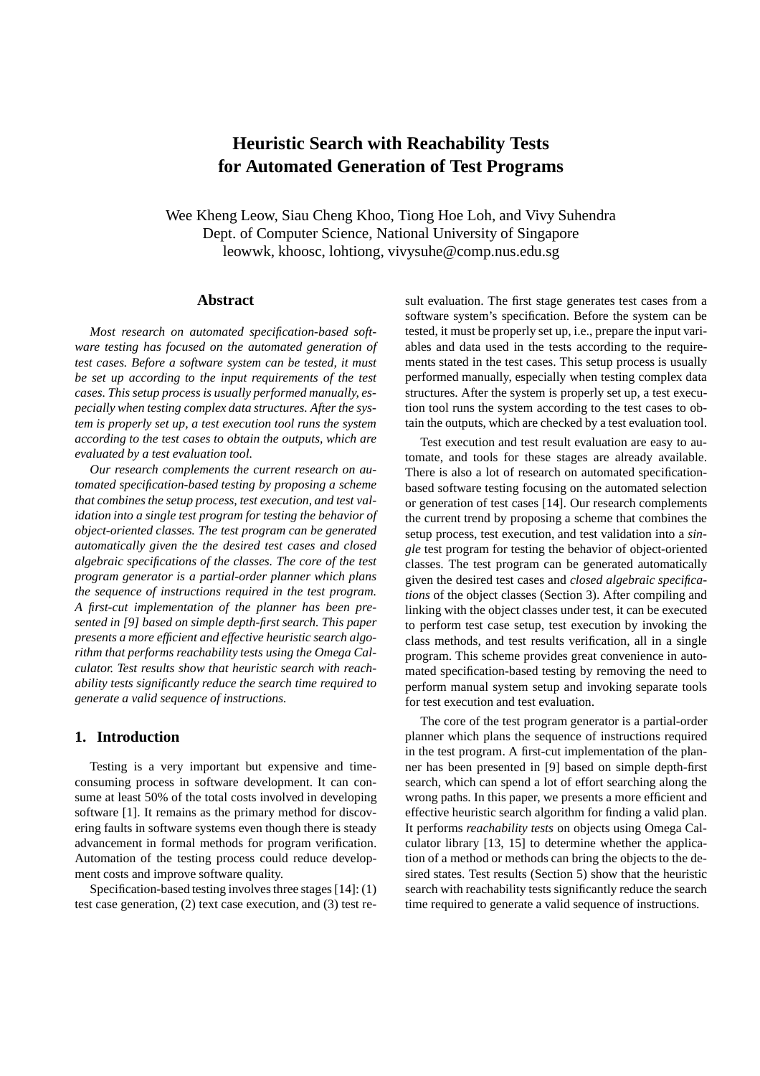# **Heuristic Search with Reachability Tests for Automated Generation of Test Programs**

Wee Kheng Leow, Siau Cheng Khoo, Tiong Hoe Loh, and Vivy Suhendra Dept. of Computer Science, National University of Singapore leowwk, khoosc, lohtiong, vivysuhe@comp.nus.edu.sg

## **Abstract**

*Most research on automated specification-based software testing has focused on the automated generation of test cases. Before a software system can be tested, it must be set up according to the input requirements of the test cases. This setup process is usually performed manually, especially when testing complex data structures. After the system is properly set up, a test execution tool runs the system according to the test cases to obtain the outputs, which are evaluated by a test evaluation tool.*

*Our research complements the current research on automated specification-based testing by proposing a scheme that combines the setup process, test execution, and test validation into a single test program for testing the behavior of object-oriented classes. The test program can be generated automatically given the the desired test cases and closed algebraic specifications of the classes. The core of the test program generator is a partial-order planner which plans the sequence of instructions required in the test program. A first-cut implementation of the planner has been presented in [9] based on simple depth-first search. This paper presents a more efficient and effective heuristic search algorithm that performs reachability tests using the Omega Calculator. Test results show that heuristic search with reachability tests significantly reduce the search time required to generate a valid sequence of instructions.*

#### **1. Introduction**

Testing is a very important but expensive and timeconsuming process in software development. It can consume at least 50% of the total costs involved in developing software [1]. It remains as the primary method for discovering faults in software systems even though there is steady advancement in formal methods for program verification. Automation of the testing process could reduce development costs and improve software quality.

Specification-based testing involves three stages [14]: (1) test case generation, (2) text case execution, and (3) test result evaluation. The first stage generates test cases from a software system's specification. Before the system can be tested, it must be properly set up, i.e., prepare the input variables and data used in the tests according to the requirements stated in the test cases. This setup process is usually performed manually, especially when testing complex data structures. After the system is properly set up, a test execution tool runs the system according to the test cases to obtain the outputs, which are checked by a test evaluation tool.

Test execution and test result evaluation are easy to automate, and tools for these stages are already available. There is also a lot of research on automated specificationbased software testing focusing on the automated selection or generation of test cases [14]. Our research complements the current trend by proposing a scheme that combines the setup process, test execution, and test validation into a *single* test program for testing the behavior of object-oriented classes. The test program can be generated automatically given the desired test cases and *closed algebraic specifications* of the object classes (Section 3). After compiling and linking with the object classes under test, it can be executed to perform test case setup, test execution by invoking the class methods, and test results verification, all in a single program. This scheme provides great convenience in automated specification-based testing by removing the need to perform manual system setup and invoking separate tools for test execution and test evaluation.

The core of the test program generator is a partial-order planner which plans the sequence of instructions required in the test program. A first-cut implementation of the planner has been presented in [9] based on simple depth-first search, which can spend a lot of effort searching along the wrong paths. In this paper, we presents a more efficient and effective heuristic search algorithm for finding a valid plan. It performs *reachability tests* on objects using Omega Calculator library [13, 15] to determine whether the application of a method or methods can bring the objects to the desired states. Test results (Section 5) show that the heuristic search with reachability tests significantly reduce the search time required to generate a valid sequence of instructions.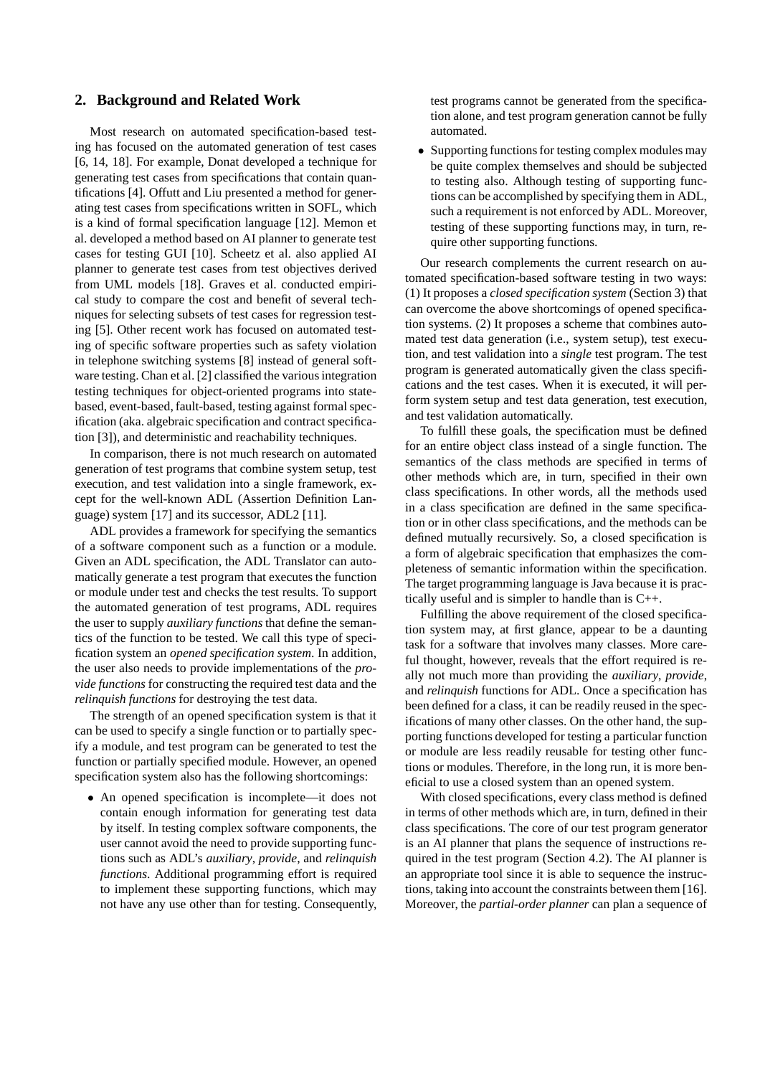### **2. Background and Related Work**

Most research on automated specification-based testing has focused on the automated generation of test cases [6, 14, 18]. For example, Donat developed a technique for generating test cases from specifications that contain quantifications [4]. Offutt and Liu presented a method for generating test cases from specifications written in SOFL, which is a kind of formal specification language [12]. Memon et al. developed a method based on AI planner to generate test cases for testing GUI [10]. Scheetz et al. also applied AI planner to generate test cases from test objectives derived from UML models [18]. Graves et al. conducted empirical study to compare the cost and benefit of several techniques for selecting subsets of test cases for regression testing [5]. Other recent work has focused on automated testing of specific software properties such as safety violation in telephone switching systems [8] instead of general software testing. Chan et al. [2] classified the various integration testing techniques for object-oriented programs into statebased, event-based, fault-based, testing against formal specification (aka. algebraic specification and contract specification [3]), and deterministic and reachability techniques.

In comparison, there is not much research on automated generation of test programs that combine system setup, test execution, and test validation into a single framework, except for the well-known ADL (Assertion Definition Language) system [17] and its successor, ADL2 [11].

ADL provides a framework for specifying the semantics of a software component such as a function or a module. Given an ADL specification, the ADL Translator can automatically generate a test program that executes the function or module under test and checks the test results. To support the automated generation of test programs, ADL requires the user to supply *auxiliary functions* that define the semantics of the function to be tested. We call this type of specification system an *opened specification system*. In addition, the user also needs to provide implementations of the *provide functions* for constructing the required test data and the *relinquish functions* for destroying the test data.

The strength of an opened specification system is that it can be used to specify a single function or to partially specify a module, and test program can be generated to test the function or partially specified module. However, an opened specification system also has the following shortcomings:

• An opened specification is incomplete—it does not contain enough information for generating test data by itself. In testing complex software components, the user cannot avoid the need to provide supporting functions such as ADL's *auxiliary*, *provide*, and *relinquish functions*. Additional programming effort is required to implement these supporting functions, which may not have any use other than for testing. Consequently,

test programs cannot be generated from the specification alone, and test program generation cannot be fully automated.

• Supporting functions for testing complex modules may be quite complex themselves and should be subjected to testing also. Although testing of supporting functions can be accomplished by specifying them in ADL, such a requirement is not enforced by ADL. Moreover, testing of these supporting functions may, in turn, require other supporting functions.

Our research complements the current research on automated specification-based software testing in two ways: (1) It proposes a *closed specification system* (Section 3) that can overcome the above shortcomings of opened specification systems. (2) It proposes a scheme that combines automated test data generation (i.e., system setup), test execution, and test validation into a *single* test program. The test program is generated automatically given the class specifications and the test cases. When it is executed, it will perform system setup and test data generation, test execution, and test validation automatically.

To fulfill these goals, the specification must be defined for an entire object class instead of a single function. The semantics of the class methods are specified in terms of other methods which are, in turn, specified in their own class specifications. In other words, all the methods used in a class specification are defined in the same specification or in other class specifications, and the methods can be defined mutually recursively. So, a closed specification is a form of algebraic specification that emphasizes the completeness of semantic information within the specification. The target programming language is Java because it is practically useful and is simpler to handle than is C++.

Fulfilling the above requirement of the closed specification system may, at first glance, appear to be a daunting task for a software that involves many classes. More careful thought, however, reveals that the effort required is really not much more than providing the *auxiliary*, *provide*, and *relinquish* functions for ADL. Once a specification has been defined for a class, it can be readily reused in the specifications of many other classes. On the other hand, the supporting functions developed for testing a particular function or module are less readily reusable for testing other functions or modules. Therefore, in the long run, it is more beneficial to use a closed system than an opened system.

With closed specifications, every class method is defined in terms of other methods which are, in turn, defined in their class specifications. The core of our test program generator is an AI planner that plans the sequence of instructions required in the test program (Section 4.2). The AI planner is an appropriate tool since it is able to sequence the instructions, taking into account the constraints between them [16]. Moreover, the *partial-order planner* can plan a sequence of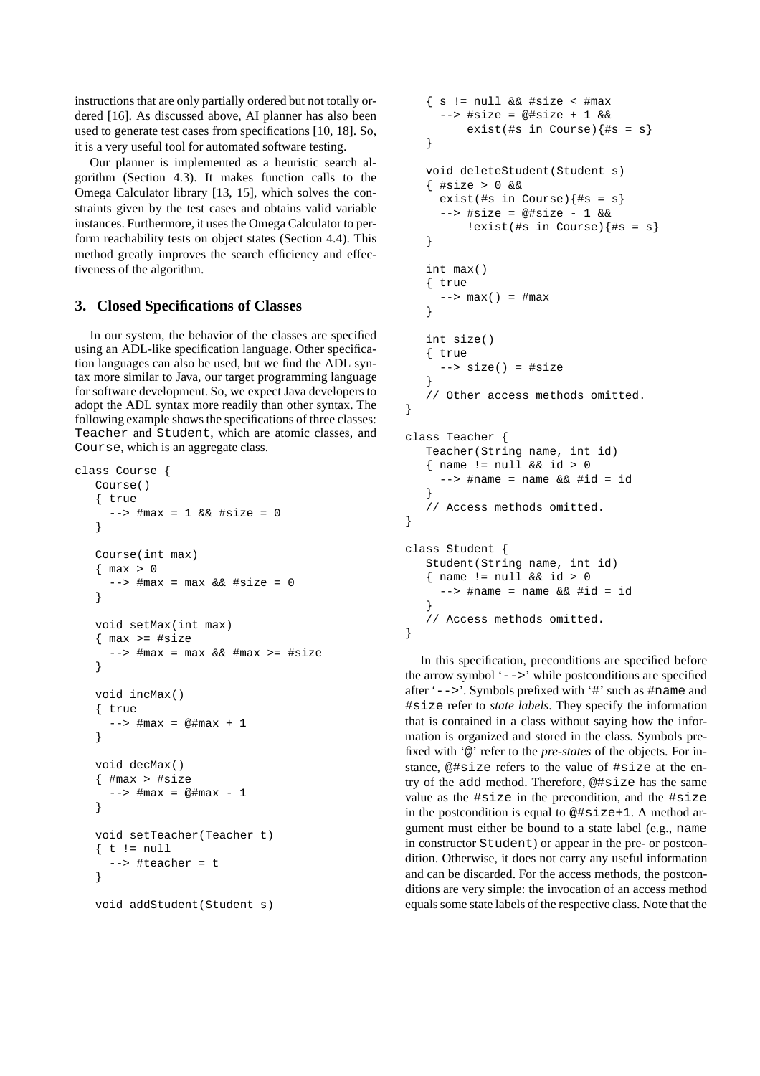instructions that are only partially ordered but not totally ordered [16]. As discussed above, AI planner has also been used to generate test cases from specifications [10, 18]. So, it is a very useful tool for automated software testing.

Our planner is implemented as a heuristic search algorithm (Section 4.3). It makes function calls to the Omega Calculator library [13, 15], which solves the constraints given by the test cases and obtains valid variable instances. Furthermore, it uses the Omega Calculator to perform reachability tests on object states (Section 4.4). This method greatly improves the search efficiency and effectiveness of the algorithm.

## **3. Closed Specifications of Classes**

In our system, the behavior of the classes are specified using an ADL-like specification language. Other specification languages can also be used, but we find the ADL syntax more similar to Java, our target programming language for software development. So, we expect Java developers to adopt the ADL syntax more readily than other syntax. The following example shows the specifications of three classes: Teacher and Student, which are atomic classes, and Course, which is an aggregate class.

```
class Course {
   Course()
   { true
       \Rightarrow #max = 1 && #size = 0
   }
   Course(int max)
   \{ max > 0-- \#max = max & \#size = 0
   }
   void setMax(int max)
   \{ \text{max} \geq \text{#size} \}--> #max = max && #max >= #size
   }
   void incMax()
   { true
      --> #max = @#max + 1
   }
   void decMax()
   \{ \text{ } \#max \geq \#size \}--> #max = @#max - 1
   }
   void setTeacher(Teacher t)
   \{t\} := null
      --> #teacher = t
   }
   void addStudent(Student s)
```

```
\{ s := null \&\&\#size < \#max--> #size = @#size + 1 &&
         exist (#s in Course) {#s = s}
   }
   void deleteStudent(Student s)
   { #size > 0 &&
     exist(#s in Course)\{#s = s\}--> #size = @#size - 1 &&
         !exist(#s in Course){#s = s}
   }
   int max()
   { true
     ---> max() = #max}
   int size()
   { true
     --> size() = #size
   }
   // Other access methods omitted.
}
class Teacher {
   Teacher(String name, int id)
   \{ name != null & & id > 0--> #name = name && #id = id
   }
   // Access methods omitted.
}
class Student {
   Student(String name, int id)
   \{ name != null &\& id > 0--> #name = name && #id = id
   }
   // Access methods omitted.
}
```
In this specification, preconditions are specified before the arrow symbol '-->' while postconditions are specified after '-->'. Symbols prefixed with '#' such as #name and #size refer to *state labels*. They specify the information that is contained in a class without saying how the information is organized and stored in the class. Symbols prefixed with '@' refer to the *pre-states* of the objects. For instance, @#size refers to the value of #size at the entry of the add method. Therefore, @#size has the same value as the #size in the precondition, and the #size in the postcondition is equal to @#size+1. A method argument must either be bound to a state label (e.g., name in constructor Student) or appear in the pre- or postcondition. Otherwise, it does not carry any useful information and can be discarded. For the access methods, the postconditions are very simple: the invocation of an access method equals some state labels of the respective class. Note that the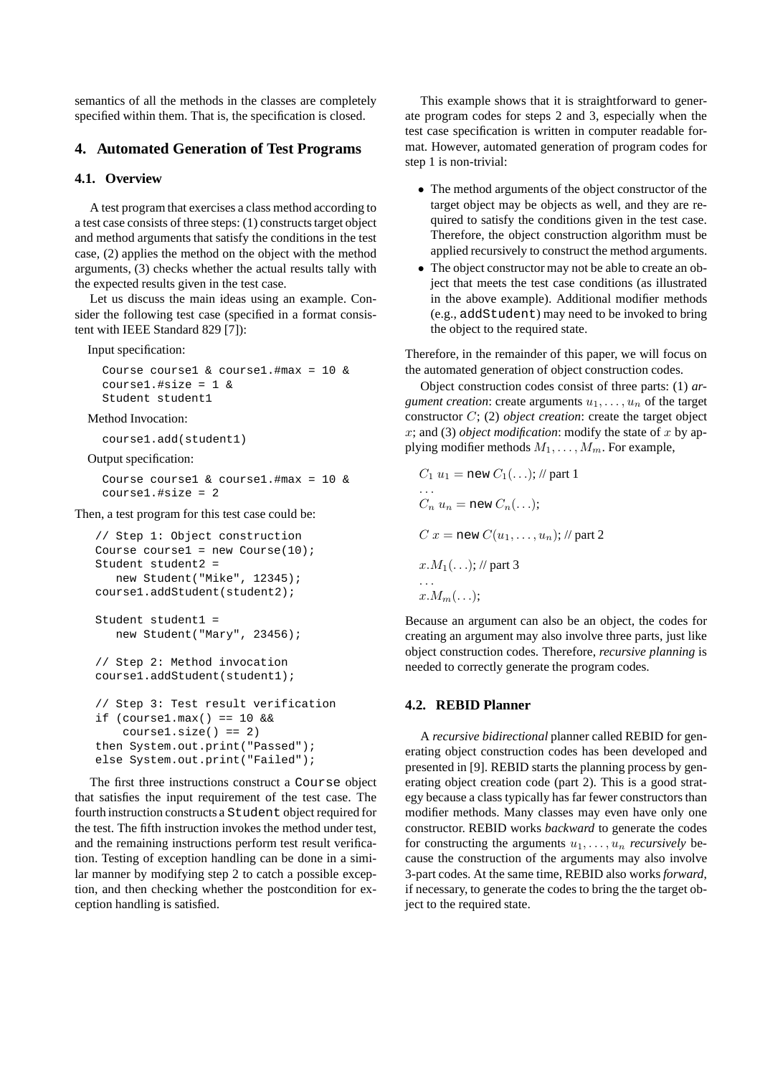semantics of all the methods in the classes are completely specified within them. That is, the specification is closed.

## **4. Automated Generation of Test Programs**

### **4.1. Overview**

A test program that exercises a class method according to a test case consists of three steps: (1) constructs target object and method arguments that satisfy the conditions in the test case, (2) applies the method on the object with the method arguments, (3) checks whether the actual results tally with the expected results given in the test case.

Let us discuss the main ideas using an example. Consider the following test case (specified in a format consistent with IEEE Standard 829 [7]):

Input specification:

```
Course course1 & course1.#max = 10 &
course1.#size = 1 &
Student student1
```
Method Invocation:

```
course1.add(student1)
```
#### Output specification:

Course course1 & course1.#max = 10 & course1.#size = 2

#### Then, a test program for this test case could be:

```
// Step 1: Object construction
Course course1 = new Course(10);
Student student2 =
   new Student("Mike", 12345);
course1.addStudent(student2);
```

```
Student student1 =
   new Student("Mary", 23456);
```

```
// Step 2: Method invocation
course1.addStudent(student1);
```

```
// Step 3: Test result verification
if (course1.max() == 10 & &;course1.size() == 2)then System.out.print("Passed");
else System.out.print("Failed");
```
The first three instructions construct a Course object that satisfies the input requirement of the test case. The fourth instruction constructs a Student object required for the test. The fifth instruction invokes the method under test, and the remaining instructions perform test result verification. Testing of exception handling can be done in a similar manner by modifying step 2 to catch a possible exception, and then checking whether the postcondition for exception handling is satisfied.

This example shows that it is straightforward to generate program codes for steps 2 and 3, especially when the test case specification is written in computer readable format. However, automated generation of program codes for step 1 is non-trivial:

- The method arguments of the object constructor of the target object may be objects as well, and they are required to satisfy the conditions given in the test case. Therefore, the object construction algorithm must be applied recursively to construct the method arguments.
- The object constructor may not be able to create an object that meets the test case conditions (as illustrated in the above example). Additional modifier methods (e.g., addStudent) may need to be invoked to bring the object to the required state.

Therefore, in the remainder of this paper, we will focus on the automated generation of object construction codes.

Object construction codes consist of three parts: (1) *argument creation*: create arguments  $u_1, \ldots, u_n$  of the target constructor C; (2) *object creation*: create the target object x; and (3) *object modification*: modify the state of x by applying modifier methods  $M_1, \ldots, M_m$ . For example,

$$
C_1 u_1 = new C_1(\ldots); // part 1
$$
  
\n...  
\n
$$
C_n u_n = new C_n(\ldots);
$$
  
\n
$$
C x = new C(u_1, \ldots, u_n); // part 2
$$
  
\n
$$
x.M_1(\ldots); // part 3
$$
  
\n...  
\n
$$
x.M_m(\ldots);
$$

Because an argument can also be an object, the codes for creating an argument may also involve three parts, just like object construction codes. Therefore, *recursive planning* is needed to correctly generate the program codes.

### **4.2. REBID Planner**

A *recursive bidirectional* planner called REBID for generating object construction codes has been developed and presented in [9]. REBID starts the planning process by generating object creation code (part 2). This is a good strategy because a class typically has far fewer constructors than modifier methods. Many classes may even have only one constructor. REBID works *backward* to generate the codes for constructing the arguments  $u_1, \ldots, u_n$  *recursively* because the construction of the arguments may also involve 3-part codes. At the same time, REBID also works *forward*, if necessary, to generate the codes to bring the the target object to the required state.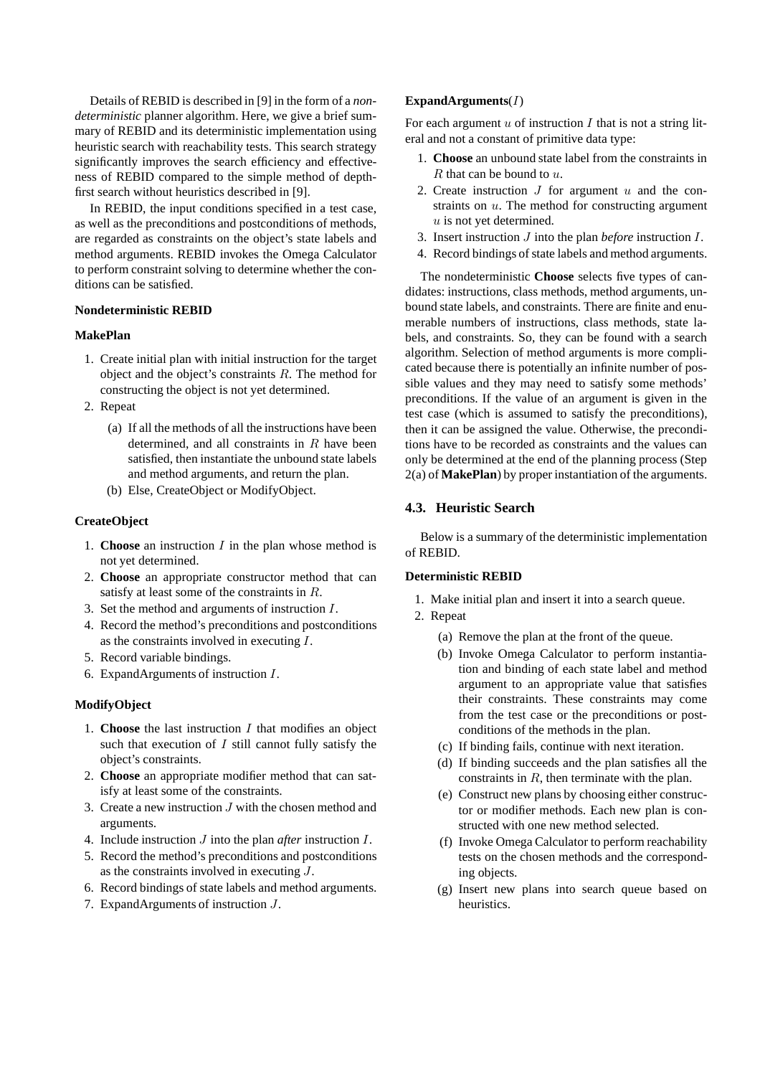Details of REBID is described in [9] in the form of a *nondeterministic* planner algorithm. Here, we give a brief summary of REBID and its deterministic implementation using heuristic search with reachability tests. This search strategy significantly improves the search efficiency and effectiveness of REBID compared to the simple method of depthfirst search without heuristics described in [9].

In REBID, the input conditions specified in a test case, as well as the preconditions and postconditions of methods, are regarded as constraints on the object's state labels and method arguments. REBID invokes the Omega Calculator to perform constraint solving to determine whether the conditions can be satisfied.

#### **Nondeterministic REBID**

#### **MakePlan**

- 1. Create initial plan with initial instruction for the target object and the object's constraints R. The method for constructing the object is not yet determined.
- 2. Repeat
	- (a) If all the methods of all the instructions have been determined, and all constraints in R have been satisfied, then instantiate the unbound state labels and method arguments, and return the plan.
	- (b) Else, CreateObject or ModifyObject.

#### **CreateObject**

- 1. **Choose** an instruction I in the plan whose method is not yet determined.
- 2. **Choose** an appropriate constructor method that can satisfy at least some of the constraints in R.
- 3. Set the method and arguments of instruction I.
- 4. Record the method's preconditions and postconditions as the constraints involved in executing I.
- 5. Record variable bindings.
- 6. ExpandArguments of instruction I.

#### **ModifyObject**

- 1. **Choose** the last instruction I that modifies an object such that execution of  $I$  still cannot fully satisfy the object's constraints.
- 2. **Choose** an appropriate modifier method that can satisfy at least some of the constraints.
- 3. Create a new instruction J with the chosen method and arguments.
- 4. Include instruction J into the plan *after* instruction I.
- 5. Record the method's preconditions and postconditions as the constraints involved in executing J.
- 6. Record bindings of state labels and method arguments.
- 7. ExpandArguments of instruction J.

#### **ExpandArguments**(I)

For each argument  $u$  of instruction  $I$  that is not a string literal and not a constant of primitive data type:

- 1. **Choose** an unbound state label from the constraints in  $R$  that can be bound to  $u$ .
- 2. Create instruction  $J$  for argument  $u$  and the constraints on  $u$ . The method for constructing argument  $u$  is not yet determined.
- 3. Insert instruction J into the plan *before* instruction I.
- 4. Record bindings of state labels and method arguments.

The nondeterministic **Choose** selects five types of candidates: instructions, class methods, method arguments, unbound state labels, and constraints. There are finite and enumerable numbers of instructions, class methods, state labels, and constraints. So, they can be found with a search algorithm. Selection of method arguments is more complicated because there is potentially an infinite number of possible values and they may need to satisfy some methods' preconditions. If the value of an argument is given in the test case (which is assumed to satisfy the preconditions), then it can be assigned the value. Otherwise, the preconditions have to be recorded as constraints and the values can only be determined at the end of the planning process (Step 2(a) of **MakePlan**) by proper instantiation of the arguments.

#### **4.3. Heuristic Search**

Below is a summary of the deterministic implementation of REBID.

#### **Deterministic REBID**

- 1. Make initial plan and insert it into a search queue.
- 2. Repeat
	- (a) Remove the plan at the front of the queue.
	- (b) Invoke Omega Calculator to perform instantiation and binding of each state label and method argument to an appropriate value that satisfies their constraints. These constraints may come from the test case or the preconditions or postconditions of the methods in the plan.
	- (c) If binding fails, continue with next iteration.
	- (d) If binding succeeds and the plan satisfies all the constraints in R, then terminate with the plan.
	- (e) Construct new plans by choosing either constructor or modifier methods. Each new plan is constructed with one new method selected.
	- (f) Invoke Omega Calculator to perform reachability tests on the chosen methods and the corresponding objects.
	- (g) Insert new plans into search queue based on heuristics.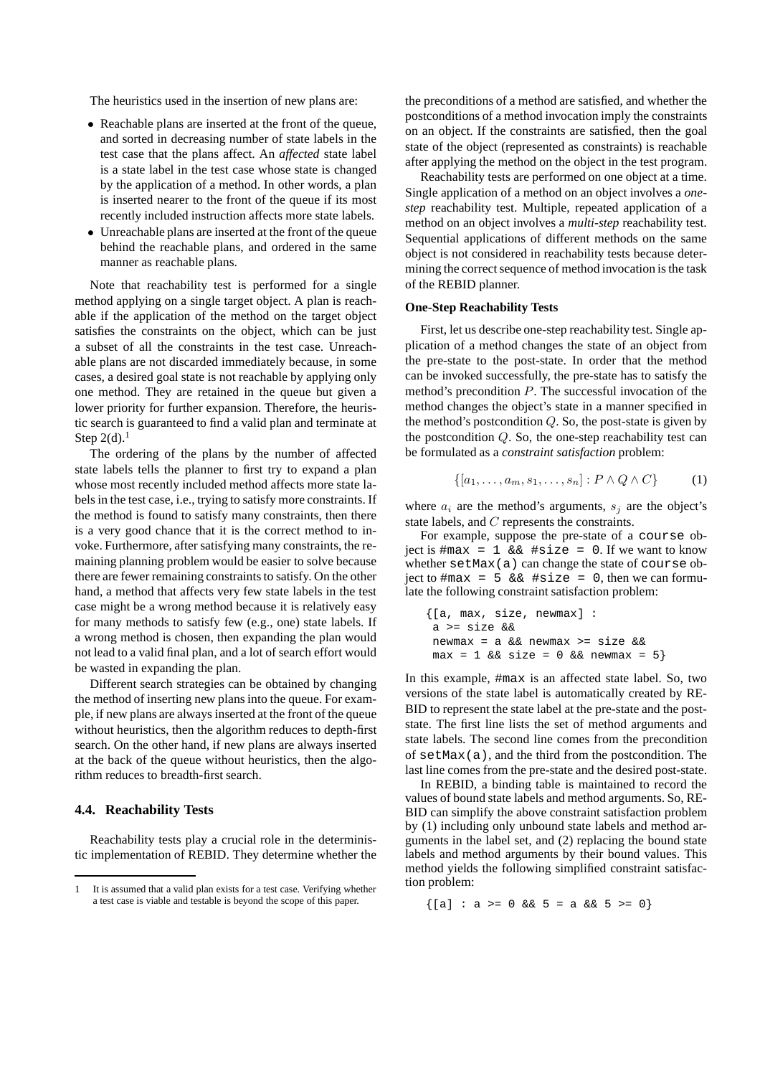The heuristics used in the insertion of new plans are:

- Reachable plans are inserted at the front of the queue, and sorted in decreasing number of state labels in the test case that the plans affect. An *affected* state label is a state label in the test case whose state is changed by the application of a method. In other words, a plan is inserted nearer to the front of the queue if its most recently included instruction affects more state labels.
- Unreachable plans are inserted at the front of the queue behind the reachable plans, and ordered in the same manner as reachable plans.

Note that reachability test is performed for a single method applying on a single target object. A plan is reachable if the application of the method on the target object satisfies the constraints on the object, which can be just a subset of all the constraints in the test case. Unreachable plans are not discarded immediately because, in some cases, a desired goal state is not reachable by applying only one method. They are retained in the queue but given a lower priority for further expansion. Therefore, the heuristic search is guaranteed to find a valid plan and terminate at Step  $2(d)$ .<sup>1</sup>

The ordering of the plans by the number of affected state labels tells the planner to first try to expand a plan whose most recently included method affects more state labels in the test case, i.e., trying to satisfy more constraints. If the method is found to satisfy many constraints, then there is a very good chance that it is the correct method to invoke. Furthermore, after satisfying many constraints, the remaining planning problem would be easier to solve because there are fewer remaining constraints to satisfy. On the other hand, a method that affects very few state labels in the test case might be a wrong method because it is relatively easy for many methods to satisfy few (e.g., one) state labels. If a wrong method is chosen, then expanding the plan would not lead to a valid final plan, and a lot of search effort would be wasted in expanding the plan.

Different search strategies can be obtained by changing the method of inserting new plans into the queue. For example, if new plans are always inserted at the front of the queue without heuristics, then the algorithm reduces to depth-first search. On the other hand, if new plans are always inserted at the back of the queue without heuristics, then the algorithm reduces to breadth-first search.

#### **4.4. Reachability Tests**

Reachability tests play a crucial role in the deterministic implementation of REBID. They determine whether the the preconditions of a method are satisfied, and whether the postconditions of a method invocation imply the constraints on an object. If the constraints are satisfied, then the goal state of the object (represented as constraints) is reachable after applying the method on the object in the test program.

Reachability tests are performed on one object at a time. Single application of a method on an object involves a *onestep* reachability test. Multiple, repeated application of a method on an object involves a *multi-step* reachability test. Sequential applications of different methods on the same object is not considered in reachability tests because determining the correct sequence of method invocation is the task of the REBID planner.

#### **One-Step Reachability Tests**

First, let us describe one-step reachability test. Single application of a method changes the state of an object from the pre-state to the post-state. In order that the method can be invoked successfully, the pre-state has to satisfy the method's precondition  $P$ . The successful invocation of the method changes the object's state in a manner specified in the method's postcondition  $Q$ . So, the post-state is given by the postcondition  $Q$ . So, the one-step reachability test can be formulated as a *constraint satisfaction* problem:

$$
\{[a_1,\ldots,a_m,s_1,\ldots,s_n]:P\wedge Q\wedge C\}\qquad(1)
$$

where  $a_i$  are the method's arguments,  $s_i$  are the object's state labels, and C represents the constraints.

For example, suppose the pre-state of a course object is  $\text{Im} \, x = 1$  &  $\text{Im} \, x = 0$ . If we want to know whether setMax(a) can change the state of course object to  $\#max = 5$  &  $\&$   $\#size = 0$ , then we can formulate the following constraint satisfaction problem:

```
{[a, max, size, newmax] :
a >= size &&
newmax = a && newmax >= size &&
max = 1 & size = 0 & x newmax = 5}
```
In this example, #max is an affected state label. So, two versions of the state label is automatically created by RE-BID to represent the state label at the pre-state and the poststate. The first line lists the set of method arguments and state labels. The second line comes from the precondition of  $setMax(a)$ , and the third from the postcondition. The last line comes from the pre-state and the desired post-state.

In REBID, a binding table is maintained to record the values of bound state labels and method arguments. So, RE-BID can simplify the above constraint satisfaction problem by (1) including only unbound state labels and method arguments in the label set, and (2) replacing the bound state labels and method arguments by their bound values. This method yields the following simplified constraint satisfaction problem:

 $\{[a] : a > = 0 \& S = a \& S > = 0\}$ 

<sup>1</sup> It is assumed that a valid plan exists for a test case. Verifying whether a test case is viable and testable is beyond the scope of this paper.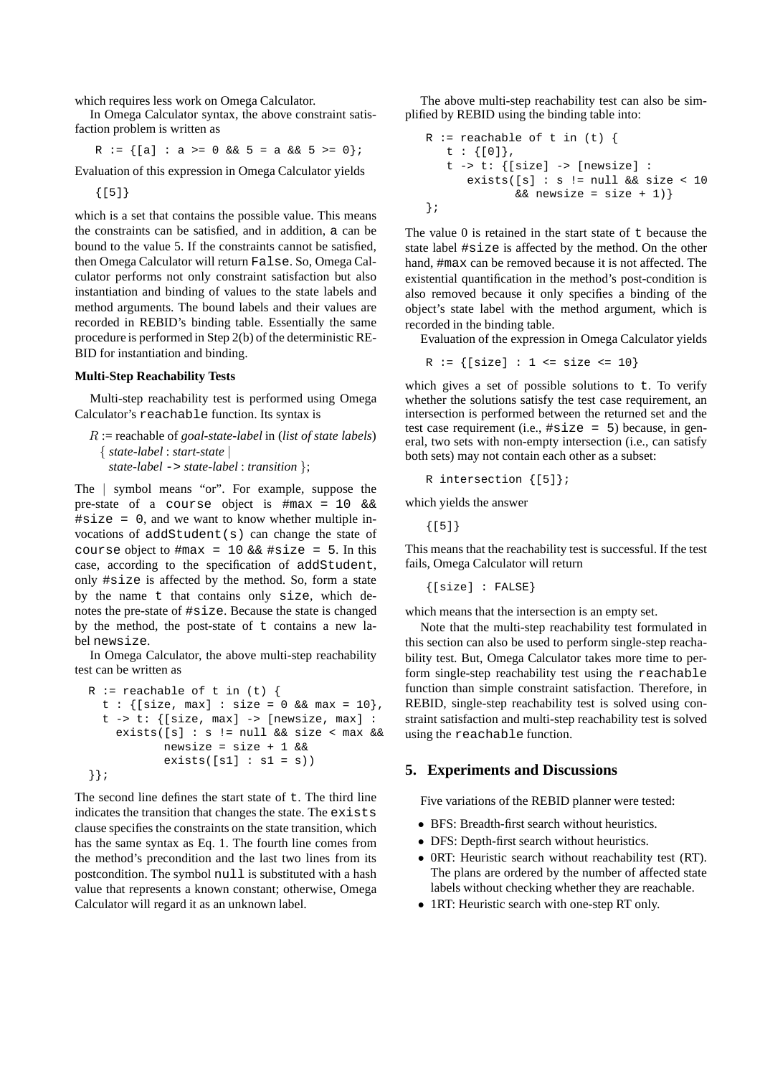which requires less work on Omega Calculator.

In Omega Calculator syntax, the above constraint satisfaction problem is written as

R :=  $\{[a] : a \ge 0 \& 5 = a \& 5 \ge 0\}$ ;

Evaluation of this expression in Omega Calculator yields

{[5]}

which is a set that contains the possible value. This means the constraints can be satisfied, and in addition, a can be bound to the value 5. If the constraints cannot be satisfied, then Omega Calculator will return False. So, Omega Calculator performs not only constraint satisfaction but also instantiation and binding of values to the state labels and method arguments. The bound labels and their values are recorded in REBID's binding table. Essentially the same procedure is performed in Step 2(b) of the deterministic RE-BID for instantiation and binding.

#### **Multi-Step Reachability Tests**

Multi-step reachability test is performed using Omega Calculator's reachable function. Its syntax is

R := reachable of *goal-state-label* in (*list of state labels*) { *state-label* : *start-state* | *state-label* -> *state-label* : *transition* };

The | symbol means "or". For example, suppose the pre-state of a course object is #max = 10 &&  $\#size = 0$ , and we want to know whether multiple invocations of  $addStudent(s)$  can change the state of course object to  $\text{max} = 10$  &&  $\text{#size} = 5$ . In this case, according to the specification of addStudent, only #size is affected by the method. So, form a state by the name t that contains only size, which denotes the pre-state of #size. Because the state is changed by the method, the post-state of  $t$  contains a new label newsize.

In Omega Calculator, the above multi-step reachability test can be written as

```
R := reachable of t in (t) \{t : {[size, max] : size = 0 & & max = 10}t \rightarrow t: {[size, max] -> [newsize, max] :
    exists([s] : s != null && size < max &&
           newsize = size + 1 & &
           exists([s1]: sl = s))}};
```
The second line defines the start state of  $t$ . The third line indicates the transition that changes the state. The exists clause specifies the constraints on the state transition, which has the same syntax as Eq. 1. The fourth line comes from the method's precondition and the last two lines from its postcondition. The symbol null is substituted with a hash value that represents a known constant; otherwise, Omega Calculator will regard it as an unknown label.

The above multi-step reachability test can also be simplified by REBID using the binding table into:

```
R := reachable of t in (t) {
  t : {[0]},
  t -> t: {[size] -> [newsize] :
      exists([s] : s := null & size < 10
             & newsize = size + 1) }
};
```
The value  $\theta$  is retained in the start state of  $\tau$  because the state label #size is affected by the method. On the other hand, #max can be removed because it is not affected. The existential quantification in the method's post-condition is also removed because it only specifies a binding of the object's state label with the method argument, which is recorded in the binding table.

Evaluation of the expression in Omega Calculator yields

 $R := \{ [size] : 1 \leq size \leq 10 \}$ 

which gives a set of possible solutions to t. To verify whether the solutions satisfy the test case requirement, an intersection is performed between the returned set and the test case requirement (i.e.,  $\#size = 5$ ) because, in general, two sets with non-empty intersection (i.e., can satisfy both sets) may not contain each other as a subset:

R intersection {[5]};

which yields the answer

{[5]}

This means that the reachability test is successful. If the test fails, Omega Calculator will return

{[size] : FALSE}

which means that the intersection is an empty set.

Note that the multi-step reachability test formulated in this section can also be used to perform single-step reachability test. But, Omega Calculator takes more time to perform single-step reachability test using the reachable function than simple constraint satisfaction. Therefore, in REBID, single-step reachability test is solved using constraint satisfaction and multi-step reachability test is solved using the reachable function.

#### **5. Experiments and Discussions**

Five variations of the REBID planner were tested:

- BFS: Breadth-first search without heuristics.
- DFS: Depth-first search without heuristics.
- 0RT: Heuristic search without reachability test (RT). The plans are ordered by the number of affected state labels without checking whether they are reachable.
- 1RT: Heuristic search with one-step RT only.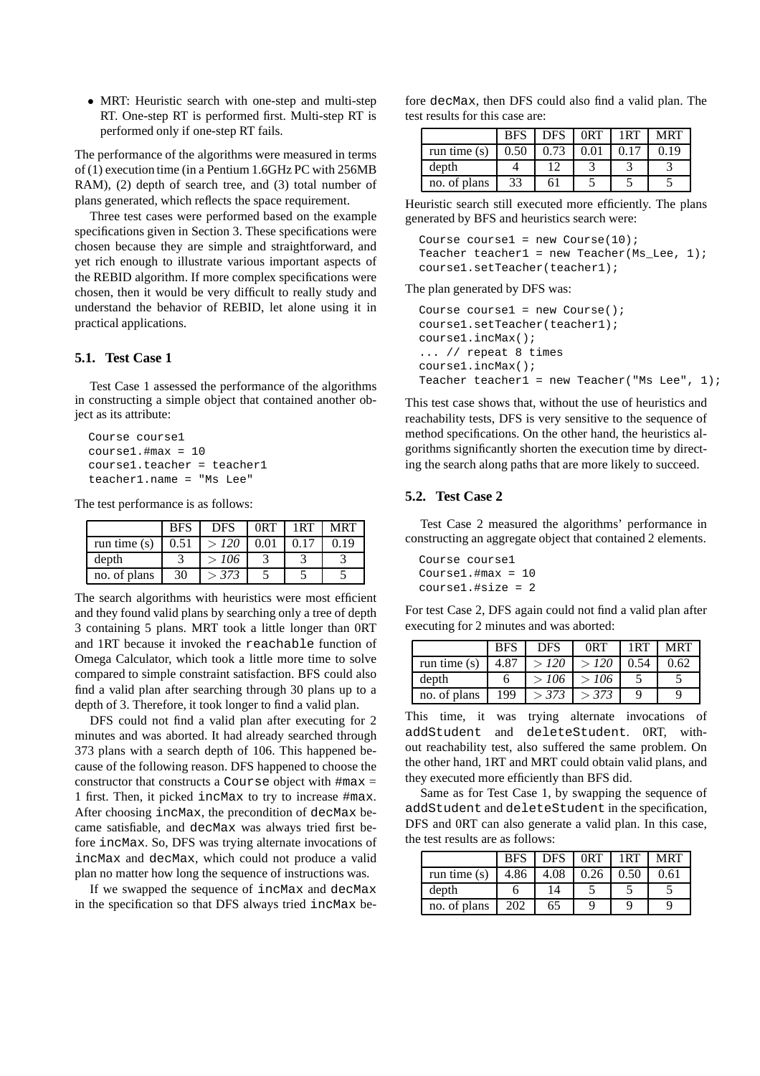• MRT: Heuristic search with one-step and multi-step RT. One-step RT is performed first. Multi-step RT is performed only if one-step RT fails.

The performance of the algorithms were measured in terms of (1) execution time (in a Pentium 1.6GHz PC with 256MB RAM), (2) depth of search tree, and (3) total number of plans generated, which reflects the space requirement.

Three test cases were performed based on the example specifications given in Section 3. These specifications were chosen because they are simple and straightforward, and yet rich enough to illustrate various important aspects of the REBID algorithm. If more complex specifications were chosen, then it would be very difficult to really study and understand the behavior of REBID, let alone using it in practical applications.

## **5.1. Test Case 1**

Test Case 1 assessed the performance of the algorithms in constructing a simple object that contained another object as its attribute:

```
Course course1
course1.#max = 10course1.teacher = teacher1
teacher1.name = "Ms Lee"
```
The test performance is as follows:

|                | <b>BFS</b> | <b>DFS</b> | 0RT  | 1RT  | <b>MRT</b> |
|----------------|------------|------------|------|------|------------|
| run time $(s)$ | 0.51       | > 120      | 0.01 | 0.17 | 0.19       |
| depth          |            | >106       |      |      |            |
| no. of plans   | 30         | > 373      |      |      |            |

The search algorithms with heuristics were most efficient and they found valid plans by searching only a tree of depth 3 containing 5 plans. MRT took a little longer than 0RT and 1RT because it invoked the reachable function of Omega Calculator, which took a little more time to solve compared to simple constraint satisfaction. BFS could also find a valid plan after searching through 30 plans up to a depth of 3. Therefore, it took longer to find a valid plan.

DFS could not find a valid plan after executing for 2 minutes and was aborted. It had already searched through 373 plans with a search depth of 106. This happened because of the following reason. DFS happened to choose the constructor that constructs a Course object with  $\#max =$ 1 first. Then, it picked incMax to try to increase #max. After choosing incMax, the precondition of decMax became satisfiable, and decMax was always tried first before incMax. So, DFS was trying alternate invocations of incMax and decMax, which could not produce a valid plan no matter how long the sequence of instructions was.

If we swapped the sequence of incMax and decMax in the specification so that DFS always tried incMax before decMax, then DFS could also find a valid plan. The test results for this case are:

|                | <b>BFS</b> | <b>DFS</b> | 0 <sub>R</sub> T | 1RT  | <b>MRT</b> |
|----------------|------------|------------|------------------|------|------------|
| run time $(s)$ | 0.50       | 0.73       | 0.01             | 0.17 | 0.19       |
| depth          |            |            |                  |      |            |
| no. of plans   | 33         | 61         |                  |      |            |

Heuristic search still executed more efficiently. The plans generated by BFS and heuristics search were:

```
Course course1 = new Course(10);
Teacher teacher1 = new Teacher(Ms_Lee, 1);
course1.setTeacher(teacher1);
```
#### The plan generated by DFS was:

```
Course course1 = new Course();
course1.setTeacher(teacher1);
course1.incMax();
... // repeat 8 times
course1.incMax();
Teacher teacher1 = new Teacher("Ms Lee", 1);
```
This test case shows that, without the use of heuristics and reachability tests, DFS is very sensitive to the sequence of method specifications. On the other hand, the heuristics algorithms significantly shorten the execution time by directing the search along paths that are more likely to succeed.

## **5.2. Test Case 2**

Test Case 2 measured the algorithms' performance in constructing an aggregate object that contained 2 elements.

```
Course course1
Course1.#max = 10
course1.#size = 2
```
For test Case 2, DFS again could not find a valid plan after executing for 2 minutes and was aborted:

|                | <b>BFS</b> | <b>DFS</b> | 0RT   | 1RT  | <b>MRT</b> |
|----------------|------------|------------|-------|------|------------|
| run time $(s)$ | 4.87       | >120       | > 120 | 0.54 | 0.62       |
| depth          | n          | >106       | >106  |      |            |
| no. of plans   | 199        | > 373      | > 373 |      |            |

This time, it was trying alternate invocations of addStudent and deleteStudent. 0RT, without reachability test, also suffered the same problem. On the other hand, 1RT and MRT could obtain valid plans, and they executed more efficiently than BFS did.

Same as for Test Case 1, by swapping the sequence of addStudent and deleteStudent in the specification, DFS and 0RT can also generate a valid plan. In this case, the test results are as follows:

|                | <b>BFS</b> | DFS. | 0RT  | 1RT  | <b>MRT</b> |
|----------------|------------|------|------|------|------------|
| run time $(s)$ | 4.86       | 4.08 | 0.26 | 0.50 | 0.61       |
| depth          |            | 14   |      |      |            |
| no. of plans   | 202        | 65   |      |      |            |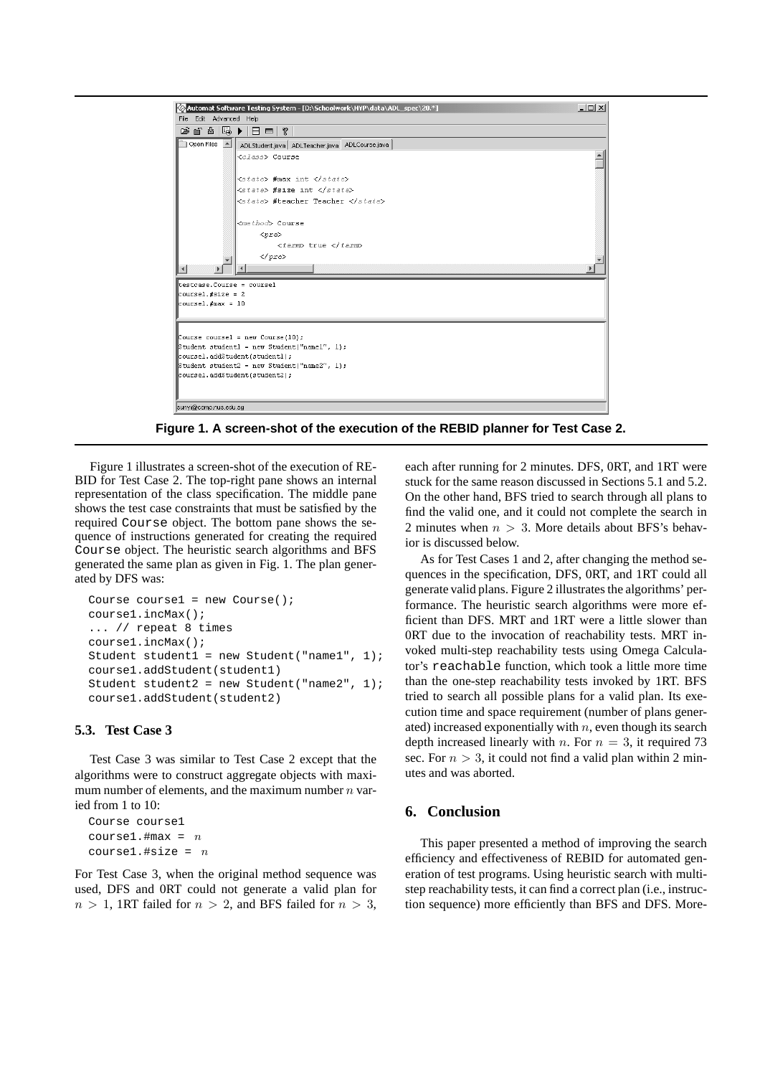

**Figure 1. A screen-shot of the execution of the REBID planner for Test Case 2.**

Figure 1 illustrates a screen-shot of the execution of RE-BID for Test Case 2. The top-right pane shows an internal representation of the class specification. The middle pane shows the test case constraints that must be satisfied by the required Course object. The bottom pane shows the sequence of instructions generated for creating the required Course object. The heuristic search algorithms and BFS generated the same plan as given in Fig. 1. The plan generated by DFS was:

```
Course course1 = new Course();
course1.incMax();
... // repeat 8 times
course1.incMax();
Student student1 = new Student("name1", 1);
course1.addStudent(student1)
Student student2 = new Student("name2", 1);
course1.addStudent(student2)
```
## **5.3. Test Case 3**

Test Case 3 was similar to Test Case 2 except that the algorithms were to construct aggregate objects with maximum number of elements, and the maximum number  $n$  varied from 1 to 10:

Course course1 course1.#max =  $n$ coursel.#size =  $n$ 

For Test Case 3, when the original method sequence was used, DFS and 0RT could not generate a valid plan for  $n > 1$ , 1RT failed for  $n > 2$ , and BFS failed for  $n > 3$ , each after running for 2 minutes. DFS, 0RT, and 1RT were stuck for the same reason discussed in Sections 5.1 and 5.2. On the other hand, BFS tried to search through all plans to find the valid one, and it could not complete the search in 2 minutes when  $n > 3$ . More details about BFS's behavior is discussed below.

As for Test Cases 1 and 2, after changing the method sequences in the specification, DFS, 0RT, and 1RT could all generate valid plans. Figure 2 illustrates the algorithms' performance. The heuristic search algorithms were more efficient than DFS. MRT and 1RT were a little slower than 0RT due to the invocation of reachability tests. MRT invoked multi-step reachability tests using Omega Calculator's reachable function, which took a little more time than the one-step reachability tests invoked by 1RT. BFS tried to search all possible plans for a valid plan. Its execution time and space requirement (number of plans generated) increased exponentially with  $n$ , even though its search depth increased linearly with n. For  $n = 3$ , it required 73 sec. For  $n > 3$ , it could not find a valid plan within 2 minutes and was aborted.

### **6. Conclusion**

This paper presented a method of improving the search efficiency and effectiveness of REBID for automated generation of test programs. Using heuristic search with multistep reachability tests, it can find a correct plan (i.e., instruction sequence) more efficiently than BFS and DFS. More-